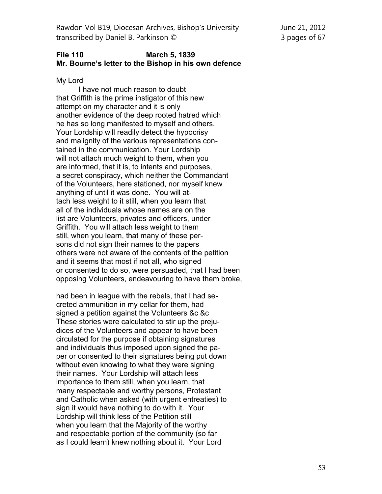Rawdon Vol B19, Diocesan Archives, Bishop's University June 21, 2012 transcribed by Daniel B. Parkinson © 3 pages of 67

## **File 110 March 5, 1839 Mr. Bourne's letter to the Bishop in his own defence**

My Lord

I have not much reason to doubt that Griffith is the prime instigator of this new attempt on my character and it is only another evidence of the deep rooted hatred which he has so long manifested to myself and others. Your Lordship will readily detect the hypocrisy and malignity of the various representations contained in the communication. Your Lordship will not attach much weight to them, when you are informed, that it is, to intents and purposes, a secret conspiracy, which neither the Commandant of the Volunteers, here stationed, nor myself knew anything of until it was done. You will attach less weight to it still, when you learn that all of the individuals whose names are on the list are Volunteers, privates and officers, under Griffith. You will attach less weight to them still, when you learn, that many of these persons did not sign their names to the papers others were not aware of the contents of the petition and it seems that most if not all, who signed or consented to do so, were persuaded, that I had been opposing Volunteers, endeavouring to have them broke,

had been in league with the rebels, that I had secreted ammunition in my cellar for them, had signed a petition against the Volunteers &c &c These stories were calculated to stir up the prejudices of the Volunteers and appear to have been circulated for the purpose if obtaining signatures and individuals thus imposed upon signed the paper or consented to their signatures being put down without even knowing to what they were signing their names. Your Lordship will attach less importance to them still, when you learn, that many respectable and worthy persons, Protestant and Catholic when asked (with urgent entreaties) to sign it would have nothing to do with it. Your Lordship will think less of the Petition still when you learn that the Majority of the worthy and respectable portion of the community (so far as I could learn) knew nothing about it. Your Lord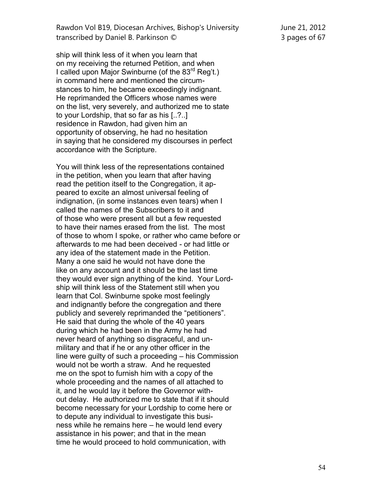Rawdon Vol B19, Diocesan Archives, Bishop's University June 21, 2012 transcribed by Daniel B. Parkinson © 3 pages of 67

ship will think less of it when you learn that on my receiving the returned Petition, and when I called upon Major Swinburne (of the  $83<sup>rd</sup>$  Reg't.) in command here and mentioned the circumstances to him, he became exceedingly indignant. He reprimanded the Officers whose names were on the list, very severely, and authorized me to state to your Lordship, that so far as his [..?..] residence in Rawdon, had given him an opportunity of observing, he had no hesitation in saying that he considered my discourses in perfect accordance with the Scripture.

You will think less of the representations contained in the petition, when you learn that after having read the petition itself to the Congregation, it appeared to excite an almost universal feeling of indignation, (in some instances even tears) when I called the names of the Subscribers to it and of those who were present all but a few requested to have their names erased from the list. The most of those to whom I spoke, or rather who came before or afterwards to me had been deceived - or had little or any idea of the statement made in the Petition. Many a one said he would not have done the like on any account and it should be the last time they would ever sign anything of the kind. Your Lordship will think less of the Statement still when you learn that Col. Swinburne spoke most feelingly and indignantly before the congregation and there publicly and severely reprimanded the "petitioners". He said that during the whole of the 40 years during which he had been in the Army he had never heard of anything so disgraceful, and unmilitary and that if he or any other officer in the line were guilty of such a proceeding – his Commission would not be worth a straw. And he requested me on the spot to furnish him with a copy of the whole proceeding and the names of all attached to it, and he would lay it before the Governor without delay. He authorized me to state that if it should become necessary for your Lordship to come here or to depute any individual to investigate this business while he remains here – he would lend every assistance in his power; and that in the mean time he would proceed to hold communication, with